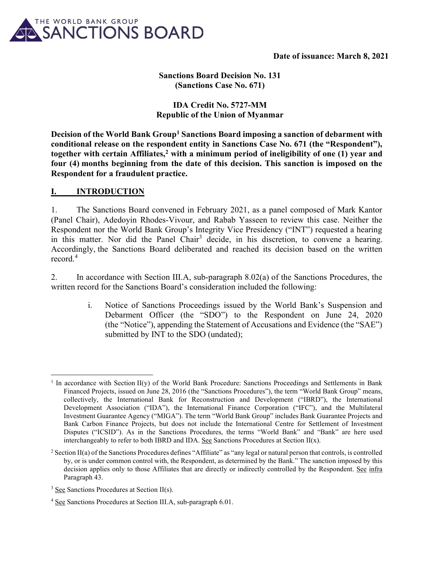

## Sanctions Board Decision No. 131 (Sanctions Case No. 671)

## IDA Credit No. 5727-MM Republic of the Union of Myanmar

Decision of the World Bank Group<sup>1</sup> Sanctions Board imposing a sanction of debarment with conditional release on the respondent entity in Sanctions Case No. 671 (the "Respondent"), together with certain Affiliates,<sup>2</sup> with a minimum period of ineligibility of one (1) year and four (4) months beginning from the date of this decision. This sanction is imposed on the Respondent for a fraudulent practice.

### I. INTRODUCTION

1. The Sanctions Board convened in February 2021, as a panel composed of Mark Kantor (Panel Chair), Adedoyin Rhodes-Vivour, and Rabab Yasseen to review this case. Neither the Respondent nor the World Bank Group's Integrity Vice Presidency ("INT") requested a hearing in this matter. Nor did the Panel Chair<sup>3</sup> decide, in his discretion, to convene a hearing. Accordingly, the Sanctions Board deliberated and reached its decision based on the written record.<sup>4</sup>

2. In accordance with Section III.A, sub-paragraph 8.02(a) of the Sanctions Procedures, the written record for the Sanctions Board's consideration included the following:

> i. Notice of Sanctions Proceedings issued by the World Bank's Suspension and Debarment Officer (the "SDO") to the Respondent on June 24, 2020 (the "Notice"), appending the Statement of Accusations and Evidence (the "SAE") submitted by INT to the SDO (undated);

<sup>&</sup>lt;sup>1</sup> In accordance with Section II(y) of the World Bank Procedure: Sanctions Proceedings and Settlements in Bank Financed Projects, issued on June 28, 2016 (the "Sanctions Procedures"), the term "World Bank Group" means, collectively, the International Bank for Reconstruction and Development ("IBRD"), the International Development Association ("IDA"), the International Finance Corporation ("IFC"), and the Multilateral Investment Guarantee Agency ("MIGA"). The term "World Bank Group" includes Bank Guarantee Projects and Bank Carbon Finance Projects, but does not include the International Centre for Settlement of Investment Disputes ("ICSID"). As in the Sanctions Procedures, the terms "World Bank" and "Bank" are here used interchangeably to refer to both IBRD and IDA. See Sanctions Procedures at Section  $II(x)$ .

 $2$  Section II(a) of the Sanctions Procedures defines "Affiliate" as "any legal or natural person that controls, is controlled by, or is under common control with, the Respondent, as determined by the Bank." The sanction imposed by this decision applies only to those Affiliates that are directly or indirectly controlled by the Respondent. See infra Paragraph 43.

 $3 \text{ See}$  Sanctions Procedures at Section II(s).

<sup>&</sup>lt;sup>4</sup> See Sanctions Procedures at Section III.A, sub-paragraph 6.01.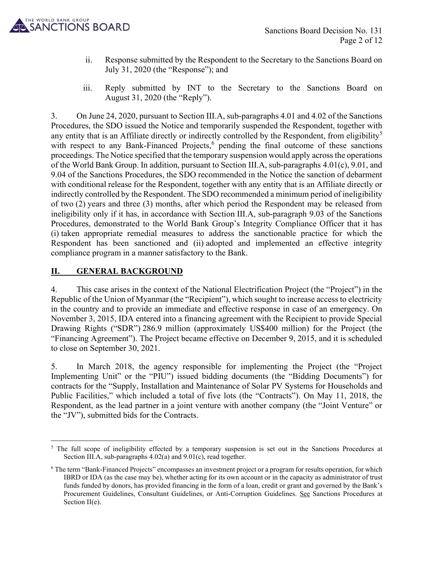

- ii. Response submitted by the Respondent to the Secretary to the Sanctions Board on July 31, 2020 (the "Response"); and
- iii. Reply submitted by INT to the Secretary to the Sanctions Board on August 31, 2020 (the "Reply").

3. On June 24, 2020, pursuant to Section III.A, sub-paragraphs 4.01 and 4.02 of the Sanctions Procedures, the SDO issued the Notice and temporarily suspended the Respondent, together with any entity that is an Affiliate directly or indirectly controlled by the Respondent, from eligibility<sup>5</sup> with respect to any Bank-Financed Projects,  $6$  pending the final outcome of these sanctions proceedings. The Notice specified that the temporary suspension would apply across the operations of the World Bank Group. In addition, pursuant to Section III.A, sub-paragraphs 4.01(c), 9.01, and 9.04 of the Sanctions Procedures, the SDO recommended in the Notice the sanction of debarment with conditional release for the Respondent, together with any entity that is an Affiliate directly or indirectly controlled by the Respondent. The SDO recommended a minimum period of ineligibility of two (2) years and three (3) months, after which period the Respondent may be released from ineligibility only if it has, in accordance with Section III.A, sub-paragraph 9.03 of the Sanctions Procedures, demonstrated to the World Bank Group's Integrity Compliance Officer that it has (i) taken appropriate remedial measures to address the sanctionable practice for which the Respondent has been sanctioned and (ii) adopted and implemented an effective integrity compliance program in a manner satisfactory to the Bank.

# II. GENERAL BACKGROUND

4. This case arises in the context of the National Electrification Project (the "Project") in the Republic of the Union of Myanmar (the "Recipient"), which sought to increase access to electricity in the country and to provide an immediate and effective response in case of an emergency. On November 3, 2015, IDA entered into a financing agreement with the Recipient to provide Special Drawing Rights ("SDR") 286.9 million (approximately US\$400 million) for the Project (the "Financing Agreement"). The Project became effective on December 9, 2015, and it is scheduled to close on September 30, 2021.

5. In March 2018, the agency responsible for implementing the Project (the "Project Implementing Unit" or the "PIU") issued bidding documents (the "Bidding Documents") for contracts for the "Supply, Installation and Maintenance of Solar PV Systems for Households and Public Facilities," which included a total of five lots (the "Contracts"). On May 11, 2018, the Respondent, as the lead partner in a joint venture with another company (the "Joint Venture" or the "JV"), submitted bids for the Contracts.

<sup>&</sup>lt;sup>5</sup> The full scope of ineligibility effected by a temporary suspension is set out in the Sanctions Procedures at Section III.A, sub-paragraphs 4.02(a) and 9.01(c), read together.

<sup>&</sup>lt;sup>6</sup> The term "Bank-Financed Projects" encompasses an investment project or a program for results operation, for which IBRD or IDA (as the case may be), whether acting for its own account or in the capacity as administrator of trust funds funded by donors, has provided financing in the form of a loan, credit or grant and governed by the Bank's Procurement Guidelines, Consultant Guidelines, or Anti-Corruption Guidelines. See Sanctions Procedures at Section II(e).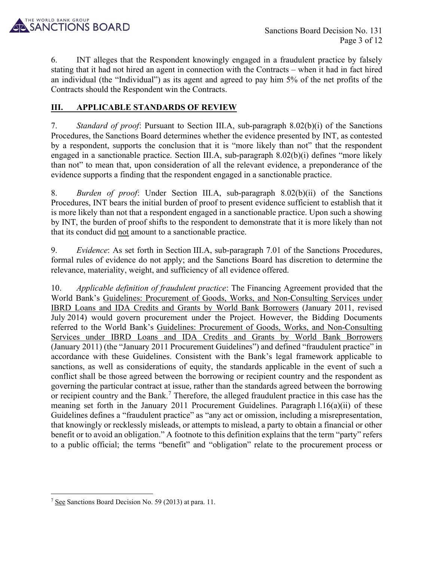

6. INT alleges that the Respondent knowingly engaged in a fraudulent practice by falsely stating that it had not hired an agent in connection with the Contracts – when it had in fact hired an individual (the "Individual") as its agent and agreed to pay him 5% of the net profits of the Contracts should the Respondent win the Contracts.

## **III. APPLICABLE STANDARDS OF REVIEW**

7. Standard of proof: Pursuant to Section III.A, sub-paragraph 8.02(b)(i) of the Sanctions Procedures, the Sanctions Board determines whether the evidence presented by INT, as contested by a respondent, supports the conclusion that it is "more likely than not" that the respondent engaged in a sanctionable practice. Section III.A, sub-paragraph 8.02(b)(i) defines "more likely than not" to mean that, upon consideration of all the relevant evidence, a preponderance of the evidence supports a finding that the respondent engaged in a sanctionable practice.

8. Burden of proof: Under Section III.A, sub-paragraph 8.02(b)(ii) of the Sanctions Procedures, INT bears the initial burden of proof to present evidence sufficient to establish that it is more likely than not that a respondent engaged in a sanctionable practice. Upon such a showing by INT, the burden of proof shifts to the respondent to demonstrate that it is more likely than not that its conduct did not amount to a sanctionable practice.

9. Evidence: As set forth in Section III.A, sub-paragraph 7.01 of the Sanctions Procedures, formal rules of evidence do not apply; and the Sanctions Board has discretion to determine the relevance, materiality, weight, and sufficiency of all evidence offered.

10. Applicable definition of fraudulent practice: The Financing Agreement provided that the World Bank's Guidelines: Procurement of Goods, Works, and Non-Consulting Services under IBRD Loans and IDA Credits and Grants by World Bank Borrowers (January 2011, revised July 2014) would govern procurement under the Project. However, the Bidding Documents referred to the World Bank's Guidelines: Procurement of Goods, Works, and Non-Consulting Services under IBRD Loans and IDA Credits and Grants by World Bank Borrowers (January 2011) (the "January 2011 Procurement Guidelines") and defined "fraudulent practice" in accordance with these Guidelines. Consistent with the Bank's legal framework applicable to sanctions, as well as considerations of equity, the standards applicable in the event of such a conflict shall be those agreed between the borrowing or recipient country and the respondent as governing the particular contract at issue, rather than the standards agreed between the borrowing or recipient country and the Bank.<sup>7</sup> Therefore, the alleged fraudulent practice in this case has the meaning set forth in the January 2011 Procurement Guidelines. Paragraph l.16(a)(ii) of these Guidelines defines a "fraudulent practice" as "any act or omission, including a misrepresentation, that knowingly or recklessly misleads, or attempts to mislead, a party to obtain a financial or other benefit or to avoid an obligation." A footnote to this definition explains that the term "party" refers to a public official; the terms "benefit" and "obligation" relate to the procurement process or

<sup>&</sup>lt;sup>7</sup> See Sanctions Board Decision No. 59 (2013) at para. 11.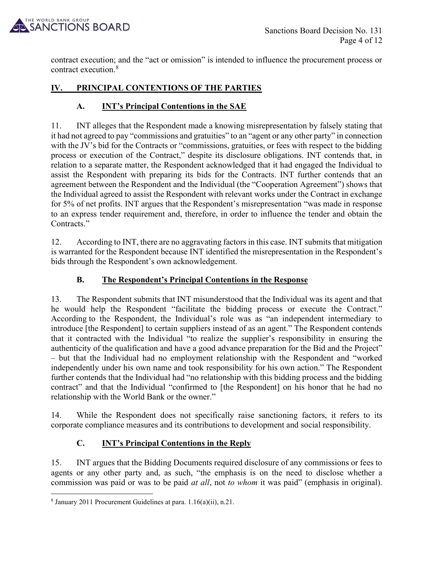

contract execution; and the "act or omission" is intended to influence the procurement process or contract execution.<sup>8</sup>

# IV. PRINCIPAL CONTENTIONS OF THE PARTIES

# A. INT's Principal Contentions in the SAE

11. INT alleges that the Respondent made a knowing misrepresentation by falsely stating that it had not agreed to pay "commissions and gratuities" to an "agent or any other party" in connection with the JV's bid for the Contracts or "commissions, gratuities, or fees with respect to the bidding process or execution of the Contract," despite its disclosure obligations. INT contends that, in relation to a separate matter, the Respondent acknowledged that it had engaged the Individual to assist the Respondent with preparing its bids for the Contracts. INT further contends that an agreement between the Respondent and the Individual (the "Cooperation Agreement") shows that the Individual agreed to assist the Respondent with relevant works under the Contract in exchange for 5% of net profits. INT argues that the Respondent's misrepresentation "was made in response to an express tender requirement and, therefore, in order to influence the tender and obtain the Contracts."

12. According to INT, there are no aggravating factors in this case. INT submits that mitigation is warranted for the Respondent because INT identified the misrepresentation in the Respondent's bids through the Respondent's own acknowledgement.

# B. The Respondent's Principal Contentions in the Response

13. The Respondent submits that INT misunderstood that the Individual was its agent and that he would help the Respondent "facilitate the bidding process or execute the Contract." According to the Respondent, the Individual's role was as "an independent intermediary to introduce [the Respondent] to certain suppliers instead of as an agent." The Respondent contends that it contracted with the Individual "to realize the supplier's responsibility in ensuring the authenticity of the qualification and have a good advance preparation for the Bid and the Project" – but that the Individual had no employment relationship with the Respondent and "worked independently under his own name and took responsibility for his own action." The Respondent further contends that the Individual had "no relationship with this bidding process and the bidding contract" and that the Individual "confirmed to [the Respondent] on his honor that he had no relationship with the World Bank or the owner."

14. While the Respondent does not specifically raise sanctioning factors, it refers to its corporate compliance measures and its contributions to development and social responsibility.

# C. INT's Principal Contentions in the Reply

15. INT argues that the Bidding Documents required disclosure of any commissions or fees to agents or any other party and, as such, "the emphasis is on the need to disclose whether a commission was paid or was to be paid *at all*, not *to whom* it was paid" (emphasis in original).

<sup>8</sup> January 2011 Procurement Guidelines at para. 1.16(a)(ii), n.21.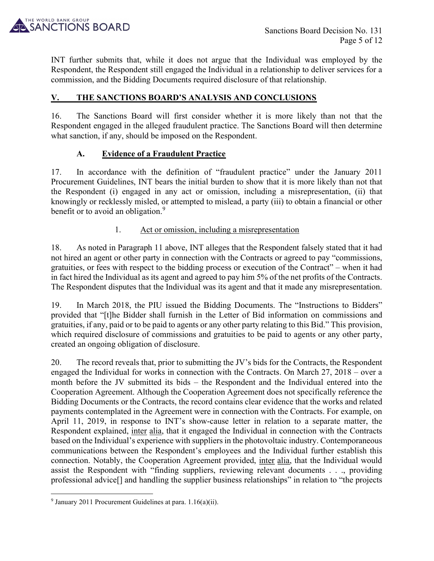

INT further submits that, while it does not argue that the Individual was employed by the Respondent, the Respondent still engaged the Individual in a relationship to deliver services for a commission, and the Bidding Documents required disclosure of that relationship.

## V. THE SANCTIONS BOARD'S ANALYSIS AND CONCLUSIONS

16. The Sanctions Board will first consider whether it is more likely than not that the Respondent engaged in the alleged fraudulent practice. The Sanctions Board will then determine what sanction, if any, should be imposed on the Respondent.

### A. Evidence of a Fraudulent Practice

17. In accordance with the definition of "fraudulent practice" under the January 2011 Procurement Guidelines, INT bears the initial burden to show that it is more likely than not that the Respondent (i) engaged in any act or omission, including a misrepresentation, (ii) that knowingly or recklessly misled, or attempted to mislead, a party (iii) to obtain a financial or other benefit or to avoid an obligation.<sup>9</sup>

### 1. Act or omission, including a misrepresentation

18. As noted in Paragraph 11 above, INT alleges that the Respondent falsely stated that it had not hired an agent or other party in connection with the Contracts or agreed to pay "commissions, gratuities, or fees with respect to the bidding process or execution of the Contract" – when it had in fact hired the Individual as its agent and agreed to pay him 5% of the net profits of the Contracts. The Respondent disputes that the Individual was its agent and that it made any misrepresentation.

19. In March 2018, the PIU issued the Bidding Documents. The "Instructions to Bidders" provided that "[t]he Bidder shall furnish in the Letter of Bid information on commissions and gratuities, if any, paid or to be paid to agents or any other party relating to this Bid." This provision, which required disclosure of commissions and gratuities to be paid to agents or any other party, created an ongoing obligation of disclosure.

20. The record reveals that, prior to submitting the JV's bids for the Contracts, the Respondent engaged the Individual for works in connection with the Contracts. On March 27, 2018 – over a month before the JV submitted its bids – the Respondent and the Individual entered into the Cooperation Agreement. Although the Cooperation Agreement does not specifically reference the Bidding Documents or the Contracts, the record contains clear evidence that the works and related payments contemplated in the Agreement were in connection with the Contracts. For example, on April 11, 2019, in response to INT's show-cause letter in relation to a separate matter, the Respondent explained, inter alia, that it engaged the Individual in connection with the Contracts based on the Individual's experience with suppliers in the photovoltaic industry. Contemporaneous communications between the Respondent's employees and the Individual further establish this connection. Notably, the Cooperation Agreement provided, inter alia, that the Individual would assist the Respondent with "finding suppliers, reviewing relevant documents . . ., providing professional advice[] and handling the supplier business relationships" in relation to "the projects

<sup>&</sup>lt;sup>9</sup> January 2011 Procurement Guidelines at para.  $1.16(a)(ii)$ .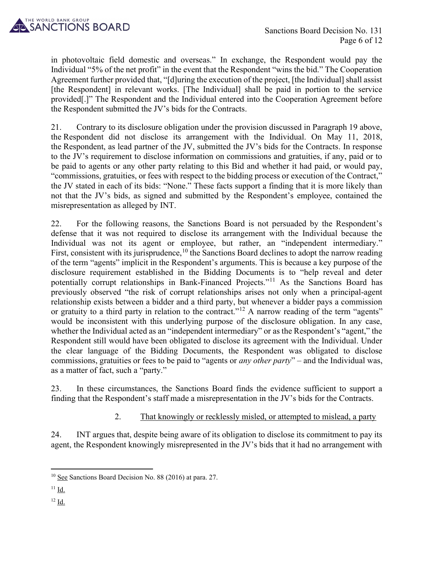

in photovoltaic field domestic and overseas." In exchange, the Respondent would pay the Individual "5% of the net profit" in the event that the Respondent "wins the bid." The Cooperation Agreement further provided that, "[d]uring the execution of the project, [the Individual] shall assist [the Respondent] in relevant works. [The Individual] shall be paid in portion to the service provided[.]" The Respondent and the Individual entered into the Cooperation Agreement before the Respondent submitted the JV's bids for the Contracts.

21. Contrary to its disclosure obligation under the provision discussed in Paragraph 19 above, the Respondent did not disclose its arrangement with the Individual. On May 11, 2018, the Respondent, as lead partner of the JV, submitted the JV's bids for the Contracts. In response to the JV's requirement to disclose information on commissions and gratuities, if any, paid or to be paid to agents or any other party relating to this Bid and whether it had paid, or would pay, "commissions, gratuities, or fees with respect to the bidding process or execution of the Contract," the JV stated in each of its bids: "None." These facts support a finding that it is more likely than not that the JV's bids, as signed and submitted by the Respondent's employee, contained the misrepresentation as alleged by INT.

22. For the following reasons, the Sanctions Board is not persuaded by the Respondent's defense that it was not required to disclose its arrangement with the Individual because the Individual was not its agent or employee, but rather, an "independent intermediary." First, consistent with its jurisprudence,  $10$  the Sanctions Board declines to adopt the narrow reading of the term "agents" implicit in the Respondent's arguments. This is because a key purpose of the disclosure requirement established in the Bidding Documents is to "help reveal and deter potentially corrupt relationships in Bank-Financed Projects."<sup>11</sup> As the Sanctions Board has previously observed "the risk of corrupt relationships arises not only when a principal-agent relationship exists between a bidder and a third party, but whenever a bidder pays a commission or gratuity to a third party in relation to the contract."<sup>12</sup> A narrow reading of the term "agents" would be inconsistent with this underlying purpose of the disclosure obligation. In any case, whether the Individual acted as an "independent intermediary" or as the Respondent's "agent," the Respondent still would have been obligated to disclose its agreement with the Individual. Under the clear language of the Bidding Documents, the Respondent was obligated to disclose commissions, gratuities or fees to be paid to "agents or *any other party*" – and the Individual was, as a matter of fact, such a "party."

23. In these circumstances, the Sanctions Board finds the evidence sufficient to support a finding that the Respondent's staff made a misrepresentation in the JV's bids for the Contracts.

# 2. That knowingly or recklessly misled, or attempted to mislead, a party

24. INT argues that, despite being aware of its obligation to disclose its commitment to pay its agent, the Respondent knowingly misrepresented in the JV's bids that it had no arrangement with

12 Id.

<sup>&</sup>lt;sup>10</sup> See Sanctions Board Decision No. 88 (2016) at para. 27.

 $11$  Id.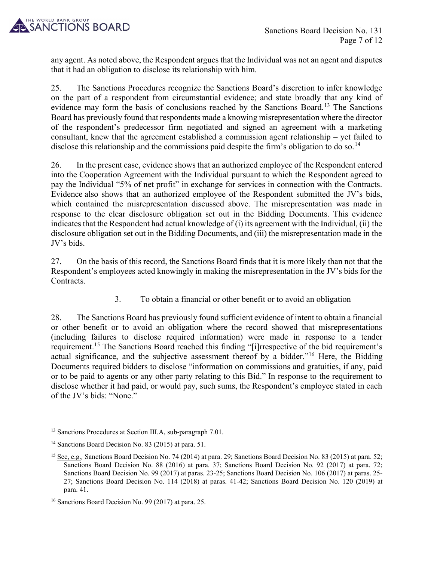

any agent. As noted above, the Respondent argues that the Individual was not an agent and disputes that it had an obligation to disclose its relationship with him.

25. The Sanctions Procedures recognize the Sanctions Board's discretion to infer knowledge on the part of a respondent from circumstantial evidence; and state broadly that any kind of evidence may form the basis of conclusions reached by the Sanctions Board.<sup>13</sup> The Sanctions Board has previously found that respondents made a knowing misrepresentation where the director of the respondent's predecessor firm negotiated and signed an agreement with a marketing consultant, knew that the agreement established a commission agent relationship – yet failed to disclose this relationship and the commissions paid despite the firm's obligation to do so.<sup>14</sup>

26. In the present case, evidence shows that an authorized employee of the Respondent entered into the Cooperation Agreement with the Individual pursuant to which the Respondent agreed to pay the Individual "5% of net profit" in exchange for services in connection with the Contracts. Evidence also shows that an authorized employee of the Respondent submitted the JV's bids, which contained the misrepresentation discussed above. The misrepresentation was made in response to the clear disclosure obligation set out in the Bidding Documents. This evidence indicates that the Respondent had actual knowledge of (i) its agreement with the Individual, (ii) the disclosure obligation set out in the Bidding Documents, and (iii) the misrepresentation made in the JV's bids.

27. On the basis of this record, the Sanctions Board finds that it is more likely than not that the Respondent's employees acted knowingly in making the misrepresentation in the JV's bids for the Contracts.

# 3. To obtain a financial or other benefit or to avoid an obligation

28. The Sanctions Board has previously found sufficient evidence of intent to obtain a financial or other benefit or to avoid an obligation where the record showed that misrepresentations (including failures to disclose required information) were made in response to a tender requirement.<sup>15</sup> The Sanctions Board reached this finding "[i]rrespective of the bid requirement's actual significance, and the subjective assessment thereof by a bidder."<sup>16</sup> Here, the Bidding Documents required bidders to disclose "information on commissions and gratuities, if any, paid or to be paid to agents or any other party relating to this Bid." In response to the requirement to disclose whether it had paid, or would pay, such sums, the Respondent's employee stated in each of the JV's bids: "None."

<sup>&</sup>lt;sup>13</sup> Sanctions Procedures at Section III.A, sub-paragraph 7.01.

<sup>&</sup>lt;sup>14</sup> Sanctions Board Decision No. 83 (2015) at para. 51.

<sup>&</sup>lt;sup>15</sup> See, e.g., Sanctions Board Decision No. 74 (2014) at para. 29; Sanctions Board Decision No. 83 (2015) at para. 52; Sanctions Board Decision No. 88 (2016) at para. 37; Sanctions Board Decision No. 92 (2017) at para. 72; Sanctions Board Decision No. 99 (2017) at paras. 23-25; Sanctions Board Decision No. 106 (2017) at paras. 25- 27; Sanctions Board Decision No. 114 (2018) at paras. 41-42; Sanctions Board Decision No. 120 (2019) at para. 41.

<sup>16</sup> Sanctions Board Decision No. 99 (2017) at para. 25.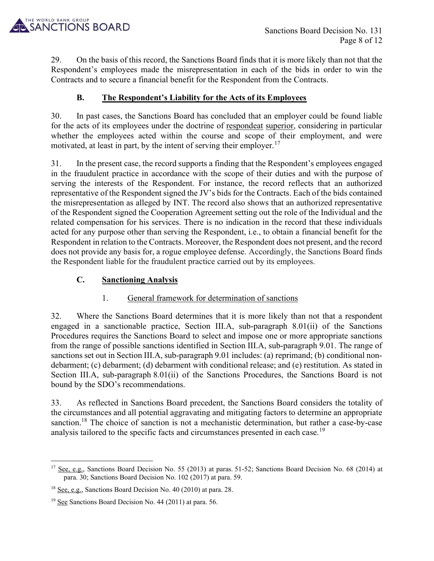

29. On the basis of this record, the Sanctions Board finds that it is more likely than not that the Respondent's employees made the misrepresentation in each of the bids in order to win the Contracts and to secure a financial benefit for the Respondent from the Contracts.

# B. The Respondent's Liability for the Acts of its Employees

30. In past cases, the Sanctions Board has concluded that an employer could be found liable for the acts of its employees under the doctrine of respondeat superior, considering in particular whether the employees acted within the course and scope of their employment, and were motivated, at least in part, by the intent of serving their employer.<sup>17</sup>

31. In the present case, the record supports a finding that the Respondent's employees engaged in the fraudulent practice in accordance with the scope of their duties and with the purpose of serving the interests of the Respondent. For instance, the record reflects that an authorized representative of the Respondent signed the JV's bids for the Contracts. Each of the bids contained the misrepresentation as alleged by INT. The record also shows that an authorized representative of the Respondent signed the Cooperation Agreement setting out the role of the Individual and the related compensation for his services. There is no indication in the record that these individuals acted for any purpose other than serving the Respondent, i.e., to obtain a financial benefit for the Respondent in relation to the Contracts. Moreover, the Respondent does not present, and the record does not provide any basis for, a rogue employee defense. Accordingly, the Sanctions Board finds the Respondent liable for the fraudulent practice carried out by its employees.

# C. Sanctioning Analysis

# 1. General framework for determination of sanctions

32. Where the Sanctions Board determines that it is more likely than not that a respondent engaged in a sanctionable practice, Section III.A, sub-paragraph 8.01(ii) of the Sanctions Procedures requires the Sanctions Board to select and impose one or more appropriate sanctions from the range of possible sanctions identified in Section III.A, sub-paragraph 9.01. The range of sanctions set out in Section III.A, sub-paragraph 9.01 includes: (a) reprimand; (b) conditional nondebarment; (c) debarment; (d) debarment with conditional release; and (e) restitution. As stated in Section III.A, sub-paragraph 8.01(ii) of the Sanctions Procedures, the Sanctions Board is not bound by the SDO's recommendations.

33. As reflected in Sanctions Board precedent, the Sanctions Board considers the totality of the circumstances and all potential aggravating and mitigating factors to determine an appropriate sanction.<sup>18</sup> The choice of sanction is not a mechanistic determination, but rather a case-by-case analysis tailored to the specific facts and circumstances presented in each case.<sup>19</sup>

<sup>&</sup>lt;sup>17</sup> See, e.g., Sanctions Board Decision No. 55 (2013) at paras. 51-52; Sanctions Board Decision No. 68 (2014) at para. 30; Sanctions Board Decision No. 102 (2017) at para. 59.

<sup>&</sup>lt;sup>18</sup> See, e.g., Sanctions Board Decision No. 40 (2010) at para. 28.

<sup>&</sup>lt;sup>19</sup> See Sanctions Board Decision No. 44 (2011) at para. 56.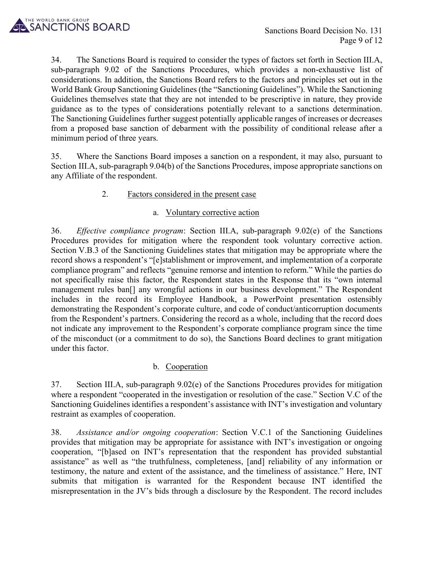

34. The Sanctions Board is required to consider the types of factors set forth in Section III.A, sub-paragraph 9.02 of the Sanctions Procedures, which provides a non-exhaustive list of considerations. In addition, the Sanctions Board refers to the factors and principles set out in the World Bank Group Sanctioning Guidelines (the "Sanctioning Guidelines"). While the Sanctioning Guidelines themselves state that they are not intended to be prescriptive in nature, they provide guidance as to the types of considerations potentially relevant to a sanctions determination. The Sanctioning Guidelines further suggest potentially applicable ranges of increases or decreases from a proposed base sanction of debarment with the possibility of conditional release after a minimum period of three years.

35. Where the Sanctions Board imposes a sanction on a respondent, it may also, pursuant to Section III.A, sub-paragraph 9.04(b) of the Sanctions Procedures, impose appropriate sanctions on any Affiliate of the respondent.

### 2. Factors considered in the present case

#### a. Voluntary corrective action

36. Effective compliance program: Section III.A, sub-paragraph 9.02(e) of the Sanctions Procedures provides for mitigation where the respondent took voluntary corrective action. Section V.B.3 of the Sanctioning Guidelines states that mitigation may be appropriate where the record shows a respondent's "[e]stablishment or improvement, and implementation of a corporate compliance program" and reflects "genuine remorse and intention to reform." While the parties do not specifically raise this factor, the Respondent states in the Response that its "own internal management rules ban[] any wrongful actions in our business development." The Respondent includes in the record its Employee Handbook, a PowerPoint presentation ostensibly demonstrating the Respondent's corporate culture, and code of conduct/anticorruption documents from the Respondent's partners. Considering the record as a whole, including that the record does not indicate any improvement to the Respondent's corporate compliance program since the time of the misconduct (or a commitment to do so), the Sanctions Board declines to grant mitigation under this factor.

# b. Cooperation

37. Section III.A, sub-paragraph 9.02(e) of the Sanctions Procedures provides for mitigation where a respondent "cooperated in the investigation or resolution of the case." Section V.C of the Sanctioning Guidelines identifies a respondent's assistance with INT's investigation and voluntary restraint as examples of cooperation.

38. Assistance and/or ongoing cooperation: Section V.C.1 of the Sanctioning Guidelines provides that mitigation may be appropriate for assistance with INT's investigation or ongoing cooperation, "[b]ased on INT's representation that the respondent has provided substantial assistance" as well as "the truthfulness, completeness, [and] reliability of any information or testimony, the nature and extent of the assistance, and the timeliness of assistance." Here, INT submits that mitigation is warranted for the Respondent because INT identified the misrepresentation in the JV's bids through a disclosure by the Respondent. The record includes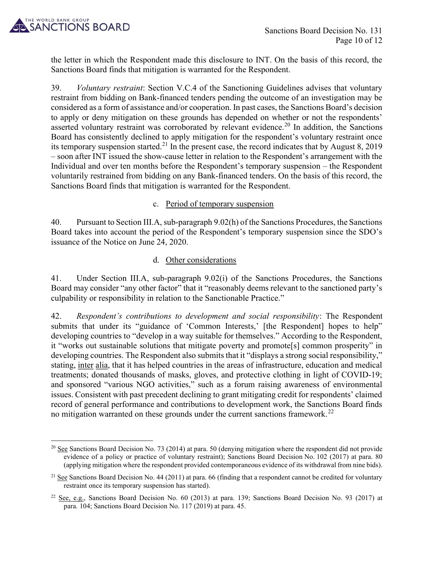

the letter in which the Respondent made this disclosure to INT. On the basis of this record, the Sanctions Board finds that mitigation is warranted for the Respondent.

39. *Voluntary restraint*: Section V.C.4 of the Sanctioning Guidelines advises that voluntary restraint from bidding on Bank-financed tenders pending the outcome of an investigation may be considered as a form of assistance and/or cooperation. In past cases, the Sanctions Board's decision to apply or deny mitigation on these grounds has depended on whether or not the respondents' asserted voluntary restraint was corroborated by relevant evidence.<sup>20</sup> In addition, the Sanctions Board has consistently declined to apply mitigation for the respondent's voluntary restraint once its temporary suspension started.<sup>21</sup> In the present case, the record indicates that by August 8, 2019 – soon after INT issued the show-cause letter in relation to the Respondent's arrangement with the Individual and over ten months before the Respondent's temporary suspension – the Respondent voluntarily restrained from bidding on any Bank-financed tenders. On the basis of this record, the Sanctions Board finds that mitigation is warranted for the Respondent.

#### c. Period of temporary suspension

40. Pursuant to Section III.A, sub-paragraph 9.02(h) of the Sanctions Procedures, the Sanctions Board takes into account the period of the Respondent's temporary suspension since the SDO's issuance of the Notice on June 24, 2020.

#### d. Other considerations

41. Under Section III.A, sub-paragraph 9.02(i) of the Sanctions Procedures, the Sanctions Board may consider "any other factor" that it "reasonably deems relevant to the sanctioned party's culpability or responsibility in relation to the Sanctionable Practice."

42. Respondent's contributions to development and social responsibility: The Respondent submits that under its "guidance of 'Common Interests,' [the Respondent] hopes to help" developing countries to "develop in a way suitable for themselves." According to the Respondent, it "works out sustainable solutions that mitigate poverty and promote[s] common prosperity" in developing countries. The Respondent also submits that it "displays a strong social responsibility," stating, inter alia, that it has helped countries in the areas of infrastructure, education and medical treatments; donated thousands of masks, gloves, and protective clothing in light of COVID-19; and sponsored "various NGO activities," such as a forum raising awareness of environmental issues. Consistent with past precedent declining to grant mitigating credit for respondents' claimed record of general performance and contributions to development work, the Sanctions Board finds no mitigation warranted on these grounds under the current sanctions framework.<sup>22</sup>

<sup>&</sup>lt;sup>20</sup> See Sanctions Board Decision No. 73 (2014) at para. 50 (denying mitigation where the respondent did not provide evidence of a policy or practice of voluntary restraint); Sanctions Board Decision No. 102 (2017) at para. 80 (applying mitigation where the respondent provided contemporaneous evidence of its withdrawal from nine bids).

 $21$  See Sanctions Board Decision No. 44 (2011) at para. 66 (finding that a respondent cannot be credited for voluntary restraint once its temporary suspension has started).

 $22$  See, e.g., Sanctions Board Decision No. 60 (2013) at para. 139; Sanctions Board Decision No. 93 (2017) at para. 104; Sanctions Board Decision No. 117 (2019) at para. 45.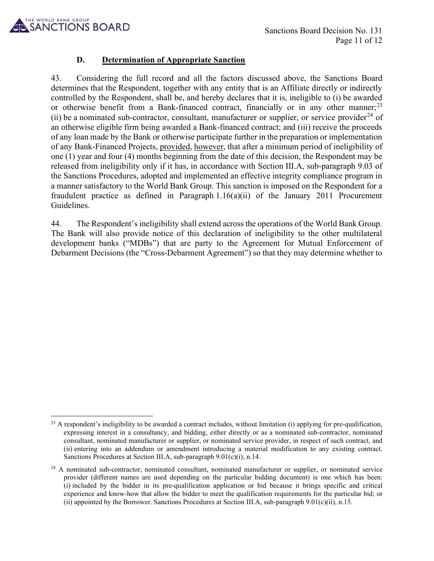

### D. Determination of Appropriate Sanction

43. Considering the full record and all the factors discussed above, the Sanctions Board determines that the Respondent, together with any entity that is an Affiliate directly or indirectly controlled by the Respondent, shall be, and hereby declares that it is, ineligible to (i) be awarded or otherwise benefit from a Bank-financed contract, financially or in any other manner;<sup>23</sup> (ii) be a nominated sub-contractor, consultant, manufacturer or supplier, or service provider<sup>24</sup> of an otherwise eligible firm being awarded a Bank-financed contract; and (iii) receive the proceeds of any loan made by the Bank or otherwise participate further in the preparation or implementation of any Bank-Financed Projects, provided, however, that after a minimum period of ineligibility of one (1) year and four (4) months beginning from the date of this decision, the Respondent may be released from ineligibility only if it has, in accordance with Section III.A, sub-paragraph 9.03 of the Sanctions Procedures, adopted and implemented an effective integrity compliance program in a manner satisfactory to the World Bank Group. This sanction is imposed on the Respondent for a fraudulent practice as defined in Paragraph 1.16(a)(ii) of the January 2011 Procurement Guidelines.

44. The Respondent's ineligibility shall extend across the operations of the World Bank Group. The Bank will also provide notice of this declaration of ineligibility to the other multilateral development banks ("MDBs") that are party to the Agreement for Mutual Enforcement of Debarment Decisions (the "Cross-Debarment Agreement") so that they may determine whether to

 $^{23}$  A respondent's ineligibility to be awarded a contract includes, without limitation (i) applying for pre-qualification, expressing interest in a consultancy, and bidding, either directly or as a nominated sub-contractor, nominated consultant, nominated manufacturer or supplier, or nominated service provider, in respect of such contract, and (ii) entering into an addendum or amendment introducing a material modification to any existing contract. Sanctions Procedures at Section III.A, sub-paragraph 9.01(c)(i), n.14.

<sup>&</sup>lt;sup>24</sup> A nominated sub-contractor, nominated consultant, nominated manufacturer or supplier, or nominated service provider (different names are used depending on the particular bidding document) is one which has been: (i) included by the bidder in its pre-qualification application or bid because it brings specific and critical experience and know-how that allow the bidder to meet the qualification requirements for the particular bid; or (ii) appointed by the Borrower. Sanctions Procedures at Section III.A, sub-paragraph 9.01(c)(ii), n.15.